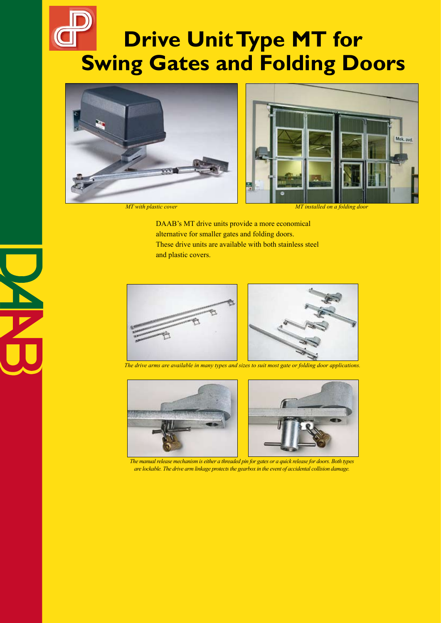## **Drive Unit Type MT for Swing Gates and Folding Doors**



*MT with plastic cover MT installed on a folding door*

DAAB's MT drive units provide a more economical alternative for smaller gates and folding doors. These drive units are available with both stainless steel and plastic covers.



*The drive arms are available in many types and sizes to suit most gate or folding door applications.*





*The manual release mechanism is either a threaded pin for gates or a quick release for doors. Both types are lockable. The drive arm linkage protects the gearbox in the event of accidental collision damage.*